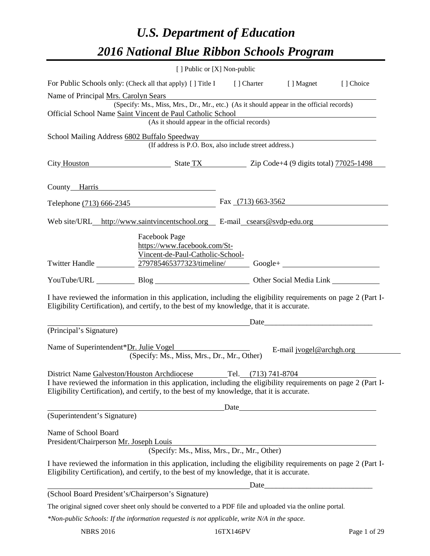# *U.S. Department of Education 2016 National Blue Ribbon Schools Program*

| [ ] Public or [X] Non-public                                                                                                                                                                                                                                                       |                                                                  |  |                                                                                                                     |           |
|------------------------------------------------------------------------------------------------------------------------------------------------------------------------------------------------------------------------------------------------------------------------------------|------------------------------------------------------------------|--|---------------------------------------------------------------------------------------------------------------------|-----------|
| For Public Schools only: (Check all that apply) [] Title I [] Charter [] Magnet                                                                                                                                                                                                    |                                                                  |  |                                                                                                                     | [] Choice |
| Name of Principal Mrs. Carolyn Sears                                                                                                                                                                                                                                               |                                                                  |  |                                                                                                                     |           |
| (Specify: Ms., Miss, Mrs., Dr., Mr., etc.) (As it should appear in the official records)<br>Official School Name Saint Vincent de Paul Catholic School                                                                                                                             |                                                                  |  |                                                                                                                     |           |
|                                                                                                                                                                                                                                                                                    | (As it should appear in the official records)                    |  | <u> 1980 - Johann Barn, mars eta bainar eta baina eta baina eta baina eta baina eta baina eta baina eta baina e</u> |           |
| School Mailing Address 6802 Buffalo Speedway Martin March 1999 and Mailing Address 6802 Buffalo Speedway                                                                                                                                                                           |                                                                  |  |                                                                                                                     |           |
|                                                                                                                                                                                                                                                                                    | (If address is P.O. Box, also include street address.)           |  |                                                                                                                     |           |
| City Houston State TX Zip Code+4 (9 digits total) 77025-1498                                                                                                                                                                                                                       |                                                                  |  |                                                                                                                     |           |
| County Harris                                                                                                                                                                                                                                                                      |                                                                  |  |                                                                                                                     |           |
| Telephone (713) 666-2345 Fax (713) 663-3562                                                                                                                                                                                                                                        |                                                                  |  |                                                                                                                     |           |
| Web site/URL_http://www.saintyincentschool.org E-mail_csears@svdp-edu.org                                                                                                                                                                                                          |                                                                  |  |                                                                                                                     |           |
|                                                                                                                                                                                                                                                                                    | Facebook Page                                                    |  |                                                                                                                     |           |
|                                                                                                                                                                                                                                                                                    | https://www.facebook.com/St-<br>Vincent-de-Paul-Catholic-School- |  |                                                                                                                     |           |
| Twitter Handle 279785465377323/timeline/ Google+                                                                                                                                                                                                                                   |                                                                  |  |                                                                                                                     |           |
| YouTube/URL Blog Blog Cher Social Media Link                                                                                                                                                                                                                                       |                                                                  |  |                                                                                                                     |           |
| I have reviewed the information in this application, including the eligibility requirements on page 2 (Part I-<br>Eligibility Certification), and certify, to the best of my knowledge, that it is accurate.                                                                       |                                                                  |  |                                                                                                                     |           |
|                                                                                                                                                                                                                                                                                    | <u>Date</u> <u>Date</u> <u>Date</u>                              |  |                                                                                                                     |           |
| (Principal's Signature)                                                                                                                                                                                                                                                            |                                                                  |  |                                                                                                                     |           |
| Name of Superintendent*Dr. Julie Vogel                                                                                                                                                                                                                                             | (Specify: Ms., Miss, Mrs., Dr., Mr., Other)                      |  | E-mail jvogel@archgh.org                                                                                            |           |
|                                                                                                                                                                                                                                                                                    |                                                                  |  |                                                                                                                     |           |
| District Name Galveston/Houston Archdiocese<br>Tel. (713) 741-8704<br>I have reviewed the information in this application, including the eligibility requirements on page 2 (Part I-<br>Eligibility Certification), and certify, to the best of my knowledge, that it is accurate. |                                                                  |  |                                                                                                                     |           |
| <u>Date</u> <u>Date</u>                                                                                                                                                                                                                                                            |                                                                  |  |                                                                                                                     |           |
| (Superintendent's Signature)                                                                                                                                                                                                                                                       |                                                                  |  |                                                                                                                     |           |
| Name of School Board<br>President/Chairperson Mr. Joseph Louis                                                                                                                                                                                                                     |                                                                  |  |                                                                                                                     |           |
|                                                                                                                                                                                                                                                                                    | (Specify: Ms., Miss, Mrs., Dr., Mr., Other)                      |  |                                                                                                                     |           |
| I have reviewed the information in this application, including the eligibility requirements on page 2 (Part I-<br>Eligibility Certification), and certify, to the best of my knowledge, that it is accurate.                                                                       |                                                                  |  |                                                                                                                     |           |
|                                                                                                                                                                                                                                                                                    |                                                                  |  |                                                                                                                     |           |
| (School Board President's/Chairperson's Signature)                                                                                                                                                                                                                                 |                                                                  |  |                                                                                                                     |           |
| The original signed cover sheet only should be converted to a PDF file and uploaded via the online portal.                                                                                                                                                                         |                                                                  |  |                                                                                                                     |           |
| *Non-public Schools: If the information requested is not applicable, write N/A in the space.                                                                                                                                                                                       |                                                                  |  |                                                                                                                     |           |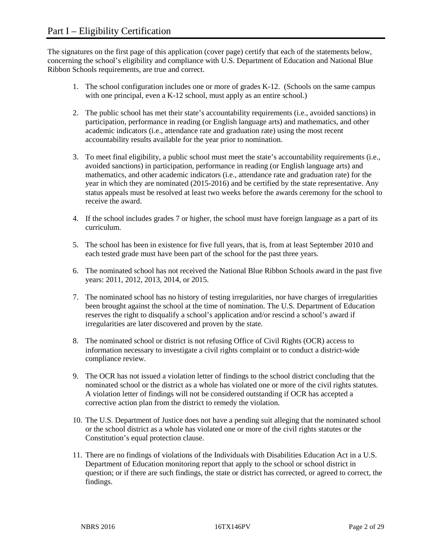The signatures on the first page of this application (cover page) certify that each of the statements below, concerning the school's eligibility and compliance with U.S. Department of Education and National Blue Ribbon Schools requirements, are true and correct.

- 1. The school configuration includes one or more of grades K-12. (Schools on the same campus with one principal, even a K-12 school, must apply as an entire school.)
- 2. The public school has met their state's accountability requirements (i.e., avoided sanctions) in participation, performance in reading (or English language arts) and mathematics, and other academic indicators (i.e., attendance rate and graduation rate) using the most recent accountability results available for the year prior to nomination.
- 3. To meet final eligibility, a public school must meet the state's accountability requirements (i.e., avoided sanctions) in participation, performance in reading (or English language arts) and mathematics, and other academic indicators (i.e., attendance rate and graduation rate) for the year in which they are nominated (2015-2016) and be certified by the state representative. Any status appeals must be resolved at least two weeks before the awards ceremony for the school to receive the award.
- 4. If the school includes grades 7 or higher, the school must have foreign language as a part of its curriculum.
- 5. The school has been in existence for five full years, that is, from at least September 2010 and each tested grade must have been part of the school for the past three years.
- 6. The nominated school has not received the National Blue Ribbon Schools award in the past five years: 2011, 2012, 2013, 2014, or 2015.
- 7. The nominated school has no history of testing irregularities, nor have charges of irregularities been brought against the school at the time of nomination. The U.S. Department of Education reserves the right to disqualify a school's application and/or rescind a school's award if irregularities are later discovered and proven by the state.
- 8. The nominated school or district is not refusing Office of Civil Rights (OCR) access to information necessary to investigate a civil rights complaint or to conduct a district-wide compliance review.
- 9. The OCR has not issued a violation letter of findings to the school district concluding that the nominated school or the district as a whole has violated one or more of the civil rights statutes. A violation letter of findings will not be considered outstanding if OCR has accepted a corrective action plan from the district to remedy the violation.
- 10. The U.S. Department of Justice does not have a pending suit alleging that the nominated school or the school district as a whole has violated one or more of the civil rights statutes or the Constitution's equal protection clause.
- 11. There are no findings of violations of the Individuals with Disabilities Education Act in a U.S. Department of Education monitoring report that apply to the school or school district in question; or if there are such findings, the state or district has corrected, or agreed to correct, the findings.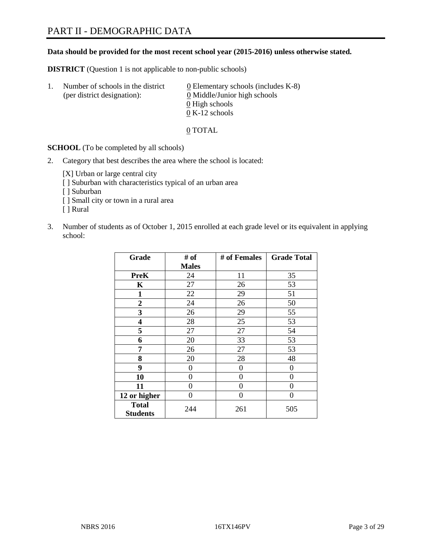#### **Data should be provided for the most recent school year (2015-2016) unless otherwise stated.**

**DISTRICT** (Question 1 is not applicable to non-public schools)

| $\mathbf{L}$ | Number of schools in the district<br>(per district designation): | $\underline{0}$ Elementary schools (includes K-8)<br>0 Middle/Junior high schools<br>0 High schools |
|--------------|------------------------------------------------------------------|-----------------------------------------------------------------------------------------------------|
|              |                                                                  | $0 K-12$ schools                                                                                    |

0 TOTAL

**SCHOOL** (To be completed by all schools)

2. Category that best describes the area where the school is located:

[X] Urban or large central city [ ] Suburban with characteristics typical of an urban area [ ] Suburban [ ] Small city or town in a rural area [ ] Rural

3. Number of students as of October 1, 2015 enrolled at each grade level or its equivalent in applying school:

| Grade                           | # of         | # of Females | <b>Grade Total</b> |
|---------------------------------|--------------|--------------|--------------------|
|                                 | <b>Males</b> |              |                    |
| <b>PreK</b>                     | 24           | 11           | 35                 |
| K                               | 27           | 26           | 53                 |
| $\mathbf{1}$                    | 22           | 29           | 51                 |
| $\overline{2}$                  | 24           | 26           | 50                 |
| 3                               | 26           | 29           | 55                 |
| 4                               | 28           | 25           | 53                 |
| 5                               | 27           | 27           | 54                 |
| 6                               | 20           | 33           | 53                 |
| 7                               | 26           | 27           | 53                 |
| 8                               | 20           | 28           | 48                 |
| 9                               | 0            | 0            | 0                  |
| 10                              | 0            | $\theta$     | 0                  |
| 11                              | $\Omega$     | 0            | 0                  |
| 12 or higher                    | $\theta$     | 0            | $\theta$           |
| <b>Total</b><br><b>Students</b> | 244          | 261          | 505                |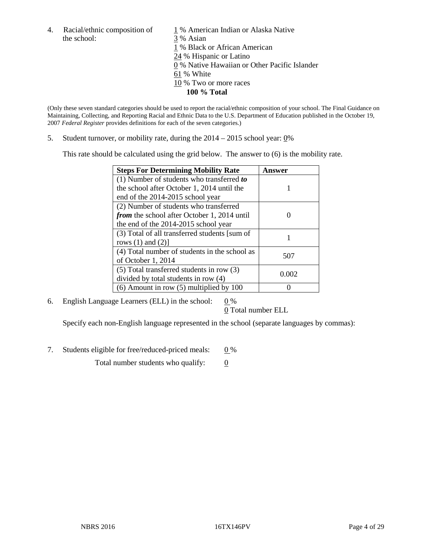the school: 3 % Asian

4. Racial/ethnic composition of  $1\%$  American Indian or Alaska Native 1 % Black or African American 24 % Hispanic or Latino 0 % Native Hawaiian or Other Pacific Islander 61 % White 10 % Two or more races **100 % Total**

(Only these seven standard categories should be used to report the racial/ethnic composition of your school. The Final Guidance on Maintaining, Collecting, and Reporting Racial and Ethnic Data to the U.S. Department of Education published in the October 19, 2007 *Federal Register* provides definitions for each of the seven categories.)

5. Student turnover, or mobility rate, during the  $2014 - 2015$  school year:  $0\%$ 

This rate should be calculated using the grid below. The answer to (6) is the mobility rate.

| <b>Steps For Determining Mobility Rate</b>         | Answer |
|----------------------------------------------------|--------|
| $(1)$ Number of students who transferred to        |        |
| the school after October 1, 2014 until the         |        |
| end of the 2014-2015 school year                   |        |
| (2) Number of students who transferred             |        |
| <i>from</i> the school after October 1, 2014 until |        |
| the end of the 2014-2015 school year               |        |
| (3) Total of all transferred students [sum of      |        |
| rows $(1)$ and $(2)$ ]                             |        |
| (4) Total number of students in the school as      | 507    |
| of October 1, 2014                                 |        |
| $(5)$ Total transferred students in row $(3)$      |        |
| divided by total students in row (4)               | 0.002  |
| $(6)$ Amount in row $(5)$ multiplied by 100        |        |

6. English Language Learners (ELL) in the school:  $0\%$ 

0 Total number ELL

Specify each non-English language represented in the school (separate languages by commas):

7. Students eligible for free/reduced-priced meals:  $0\%$ 

Total number students who qualify:  $\qquad 0$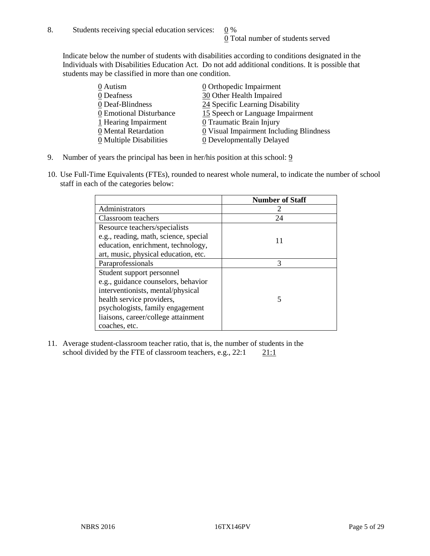Indicate below the number of students with disabilities according to conditions designated in the Individuals with Disabilities Education Act. Do not add additional conditions. It is possible that students may be classified in more than one condition.

| 0 Autism                              | 0 Orthopedic Impairment                 |
|---------------------------------------|-----------------------------------------|
| 0 Deafness                            | 30 Other Health Impaired                |
| 0 Deaf-Blindness                      | 24 Specific Learning Disability         |
| 0 Emotional Disturbance               | 15 Speech or Language Impairment        |
| 1 Hearing Impairment                  | 0 Traumatic Brain Injury                |
| 0 Mental Retardation                  | 0 Visual Impairment Including Blindness |
| $\underline{0}$ Multiple Disabilities | <b>0</b> Developmentally Delayed        |

- 9. Number of years the principal has been in her/his position at this school:  $9$
- 10. Use Full-Time Equivalents (FTEs), rounded to nearest whole numeral, to indicate the number of school staff in each of the categories below:

|                                       | <b>Number of Staff</b> |
|---------------------------------------|------------------------|
| Administrators                        |                        |
| Classroom teachers                    | 24                     |
| Resource teachers/specialists         |                        |
| e.g., reading, math, science, special | 11                     |
| education, enrichment, technology,    |                        |
| art, music, physical education, etc.  |                        |
| Paraprofessionals                     | 3                      |
| Student support personnel             |                        |
| e.g., guidance counselors, behavior   |                        |
| interventionists, mental/physical     |                        |
| health service providers,             | 5                      |
| psychologists, family engagement      |                        |
| liaisons, career/college attainment   |                        |
| coaches, etc.                         |                        |

11. Average student-classroom teacher ratio, that is, the number of students in the school divided by the FTE of classroom teachers, e.g.,  $22:1$  21:1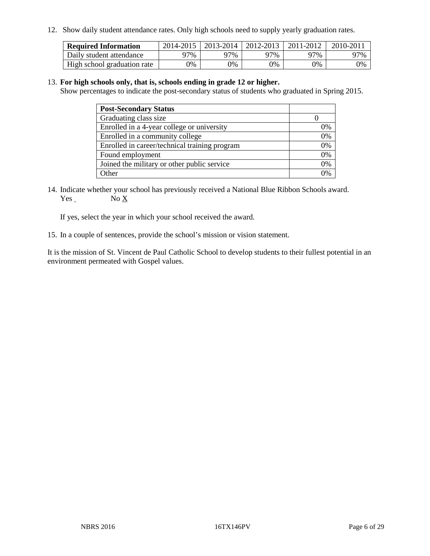12. Show daily student attendance rates. Only high schools need to supply yearly graduation rates.

| <b>Required Information</b> |     | 2014-2015   2013-2014   2012-2013 |     | 2011-2012 | 2010-2011 |
|-----------------------------|-----|-----------------------------------|-----|-----------|-----------|
| Daily student attendance    | 97% | 97%                               | 97% | ን7%       | 97%       |
| High school graduation rate | 0%  | 0%                                | 0%  | 9%        | 0%        |

#### 13. **For high schools only, that is, schools ending in grade 12 or higher.**

Show percentages to indicate the post-secondary status of students who graduated in Spring 2015.

| <b>Post-Secondary Status</b>                  |    |
|-----------------------------------------------|----|
| Graduating class size                         |    |
| Enrolled in a 4-year college or university    | 0% |
| Enrolled in a community college               | 0% |
| Enrolled in career/technical training program | 0% |
| Found employment                              | 0% |
| Joined the military or other public service   | 0% |
| Other                                         |    |

14. Indicate whether your school has previously received a National Blue Ribbon Schools award. Yes No X

If yes, select the year in which your school received the award.

15. In a couple of sentences, provide the school's mission or vision statement.

It is the mission of St. Vincent de Paul Catholic School to develop students to their fullest potential in an environment permeated with Gospel values.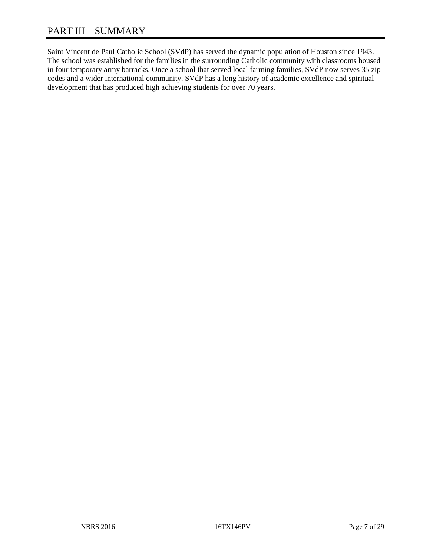Saint Vincent de Paul Catholic School (SVdP) has served the dynamic population of Houston since 1943. The school was established for the families in the surrounding Catholic community with classrooms housed in four temporary army barracks. Once a school that served local farming families, SVdP now serves 35 zip codes and a wider international community. SVdP has a long history of academic excellence and spiritual development that has produced high achieving students for over 70 years.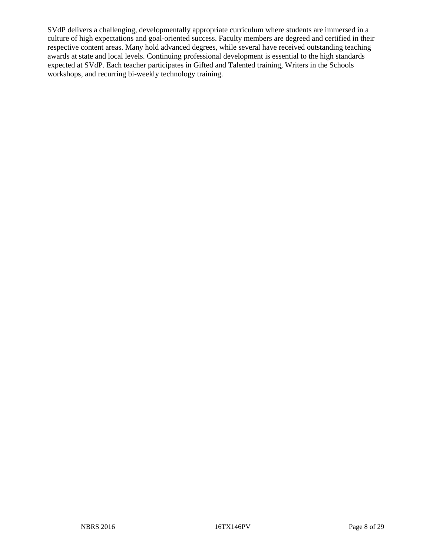SVdP delivers a challenging, developmentally appropriate curriculum where students are immersed in a culture of high expectations and goal-oriented success. Faculty members are degreed and certified in their respective content areas. Many hold advanced degrees, while several have received outstanding teaching awards at state and local levels. Continuing professional development is essential to the high standards expected at SVdP. Each teacher participates in Gifted and Talented training, Writers in the Schools workshops, and recurring bi-weekly technology training.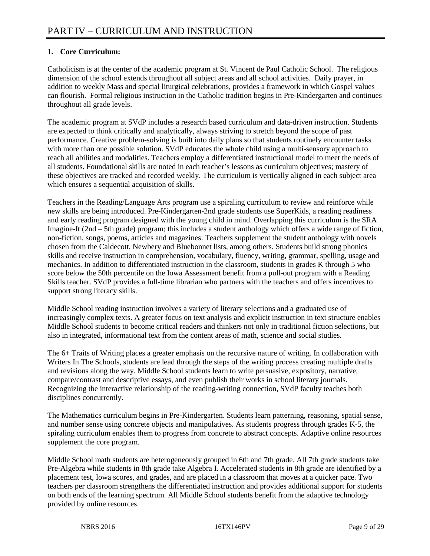## **1. Core Curriculum:**

Catholicism is at the center of the academic program at St. Vincent de Paul Catholic School. The religious dimension of the school extends throughout all subject areas and all school activities. Daily prayer, in addition to weekly Mass and special liturgical celebrations, provides a framework in which Gospel values can flourish. Formal religious instruction in the Catholic tradition begins in Pre-Kindergarten and continues throughout all grade levels.

The academic program at SVdP includes a research based curriculum and data-driven instruction. Students are expected to think critically and analytically, always striving to stretch beyond the scope of past performance. Creative problem-solving is built into daily plans so that students routinely encounter tasks with more than one possible solution. SVdP educates the whole child using a multi-sensory approach to reach all abilities and modalities. Teachers employ a differentiated instructional model to meet the needs of all students. Foundational skills are noted in each teacher's lessons as curriculum objectives; mastery of these objectives are tracked and recorded weekly. The curriculum is vertically aligned in each subject area which ensures a sequential acquisition of skills.

Teachers in the Reading/Language Arts program use a spiraling curriculum to review and reinforce while new skills are being introduced. Pre-Kindergarten-2nd grade students use SuperKids, a reading readiness and early reading program designed with the young child in mind. Overlapping this curriculum is the SRA Imagine-It (2nd – 5th grade) program; this includes a student anthology which offers a wide range of fiction, non-fiction, songs, poems, articles and magazines. Teachers supplement the student anthology with novels chosen from the Caldecott, Newbery and Bluebonnet lists, among others. Students build strong phonics skills and receive instruction in comprehension, vocabulary, fluency, writing, grammar, spelling, usage and mechanics. In addition to differentiated instruction in the classroom, students in grades K through 5 who score below the 50th percentile on the Iowa Assessment benefit from a pull-out program with a Reading Skills teacher. SVdP provides a full-time librarian who partners with the teachers and offers incentives to support strong literacy skills.

Middle School reading instruction involves a variety of literary selections and a graduated use of increasingly complex texts. A greater focus on text analysis and explicit instruction in text structure enables Middle School students to become critical readers and thinkers not only in traditional fiction selections, but also in integrated, informational text from the content areas of math, science and social studies.

The 6+ Traits of Writing places a greater emphasis on the recursive nature of writing. In collaboration with Writers In The Schools, students are lead through the steps of the writing process creating multiple drafts and revisions along the way. Middle School students learn to write persuasive, expository, narrative, compare/contrast and descriptive essays, and even publish their works in school literary journals. Recognizing the interactive relationship of the reading-writing connection, SVdP faculty teaches both disciplines concurrently.

The Mathematics curriculum begins in Pre-Kindergarten. Students learn patterning, reasoning, spatial sense, and number sense using concrete objects and manipulatives. As students progress through grades K-5, the spiraling curriculum enables them to progress from concrete to abstract concepts. Adaptive online resources supplement the core program.

Middle School math students are heterogeneously grouped in 6th and 7th grade. All 7th grade students take Pre-Algebra while students in 8th grade take Algebra I. Accelerated students in 8th grade are identified by a placement test, Iowa scores, and grades, and are placed in a classroom that moves at a quicker pace. Two teachers per classroom strengthens the differentiated instruction and provides additional support for students on both ends of the learning spectrum. All Middle School students benefit from the adaptive technology provided by online resources.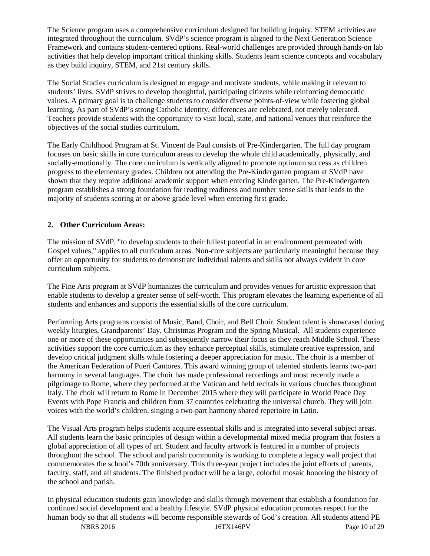The Science program uses a comprehensive curriculum designed for building inquiry. STEM activities are integrated throughout the curriculum. SVdP's science program is aligned to the Next Generation Science Framework and contains student-centered options. Real-world challenges are provided through hands-on lab activities that help develop important critical thinking skills. Students learn science concepts and vocabulary as they build inquiry, STEM, and 21st century skills.

The Social Studies curriculum is designed to engage and motivate students, while making it relevant to students' lives. SVdP strives to develop thoughtful, participating citizens while reinforcing democratic values. A primary goal is to challenge students to consider diverse points-of-view while fostering global learning. As part of SVdP's strong Catholic identity, differences are celebrated, not merely tolerated. Teachers provide students with the opportunity to visit local, state, and national venues that reinforce the objectives of the social studies curriculum.

The Early Childhood Program at St. Vincent de Paul consists of Pre-Kindergarten. The full day program focuses on basic skills in core curriculum areas to develop the whole child academically, physically, and socially-emotionally. The core curriculum is vertically aligned to promote optimum success as children progress to the elementary grades. Children not attending the Pre-Kindergarten program at SVdP have shown that they require additional academic support when entering Kindergarten. The Pre-Kindergarten program establishes a strong foundation for reading readiness and number sense skills that leads to the majority of students scoring at or above grade level when entering first grade.

#### **2. Other Curriculum Areas:**

The mission of SVdP, "to develop students to their fullest potential in an environment permeated with Gospel values," applies to all curriculum areas. Non-core subjects are particularly meaningful because they offer an opportunity for students to demonstrate individual talents and skills not always evident in core curriculum subjects.

The Fine Arts program at SVdP humanizes the curriculum and provides venues for artistic expression that enable students to develop a greater sense of self-worth. This program elevates the learning experience of all students and enhances and supports the essential skills of the core curriculum.

Performing Arts programs consist of Music, Band, Choir, and Bell Choir. Student talent is showcased during weekly liturgies, Grandparents' Day, Christmas Program and the Spring Musical. All students experience one or more of these opportunities and subsequently narrow their focus as they reach Middle School. These activities support the core curriculum as they enhance perceptual skills, stimulate creative expression, and develop critical judgment skills while fostering a deeper appreciation for music. The choir is a member of the American Federation of Pueri Cantores. This award winning group of talented students learns two-part harmony in several languages. The choir has made professional recordings and most recently made a pilgrimage to Rome, where they performed at the Vatican and held recitals in various churches throughout Italy. The choir will return to Rome in December 2015 where they will participate in World Peace Day Events with Pope Francis and children from 37 countries celebrating the universal church. They will join voices with the world's children, singing a two-part harmony shared repertoire in Latin.

The Visual Arts program helps students acquire essential skills and is integrated into several subject areas. All students learn the basic principles of design within a developmental mixed media program that fosters a global appreciation of all types of art. Student and faculty artwork is featured in a number of projects throughout the school. The school and parish community is working to complete a legacy wall project that commemorates the school's 70th anniversary. This three-year project includes the joint efforts of parents, faculty, staff, and all students. The finished product will be a large, colorful mosaic honoring the history of the school and parish.

In physical education students gain knowledge and skills through movement that establish a foundation for continued social development and a healthy lifestyle. SVdP physical education promotes respect for the human body so that all students will become responsible stewards of God's creation. All students attend PE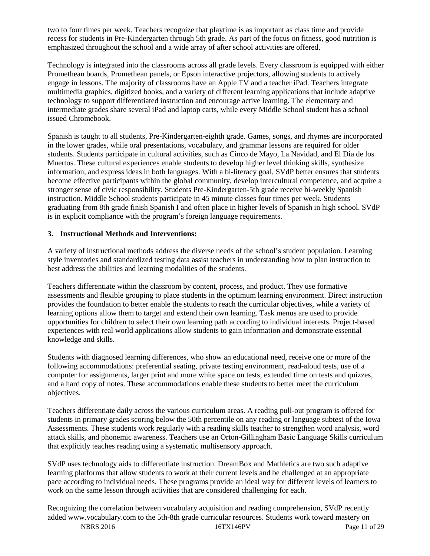two to four times per week. Teachers recognize that playtime is as important as class time and provide recess for students in Pre-Kindergarten through 5th grade. As part of the focus on fitness, good nutrition is emphasized throughout the school and a wide array of after school activities are offered.

Technology is integrated into the classrooms across all grade levels. Every classroom is equipped with either Promethean boards, Promethean panels, or Epson interactive projectors, allowing students to actively engage in lessons. The majority of classrooms have an Apple TV and a teacher iPad. Teachers integrate multimedia graphics, digitized books, and a variety of different learning applications that include adaptive technology to support differentiated instruction and encourage active learning. The elementary and intermediate grades share several iPad and laptop carts, while every Middle School student has a school issued Chromebook.

Spanish is taught to all students, Pre-Kindergarten-eighth grade. Games, songs, and rhymes are incorporated in the lower grades, while oral presentations, vocabulary, and grammar lessons are required for older students. Students participate in cultural activities, such as Cinco de Mayo, La Navidad, and El Dia de los Muertos. These cultural experiences enable students to develop higher level thinking skills, synthesize information, and express ideas in both languages. With a bi-literacy goal, SVdP better ensures that students become effective participants within the global community, develop intercultural competence, and acquire a stronger sense of civic responsibility. Students Pre-Kindergarten-5th grade receive bi-weekly Spanish instruction. Middle School students participate in 45 minute classes four times per week. Students graduating from 8th grade finish Spanish I and often place in higher levels of Spanish in high school. SVdP is in explicit compliance with the program's foreign language requirements.

#### **3. Instructional Methods and Interventions:**

A variety of instructional methods address the diverse needs of the school's student population. Learning style inventories and standardized testing data assist teachers in understanding how to plan instruction to best address the abilities and learning modalities of the students.

Teachers differentiate within the classroom by content, process, and product. They use formative assessments and flexible grouping to place students in the optimum learning environment. Direct instruction provides the foundation to better enable the students to reach the curricular objectives, while a variety of learning options allow them to target and extend their own learning. Task menus are used to provide opportunities for children to select their own learning path according to individual interests. Project-based experiences with real world applications allow students to gain information and demonstrate essential knowledge and skills.

Students with diagnosed learning differences, who show an educational need, receive one or more of the following accommodations: preferential seating, private testing environment, read-aloud tests, use of a computer for assignments, larger print and more white space on tests, extended time on tests and quizzes, and a hard copy of notes. These accommodations enable these students to better meet the curriculum objectives.

Teachers differentiate daily across the various curriculum areas. A reading pull-out program is offered for students in primary grades scoring below the 50th percentile on any reading or language subtest of the Iowa Assessments. These students work regularly with a reading skills teacher to strengthen word analysis, word attack skills, and phonemic awareness. Teachers use an Orton-Gillingham Basic Language Skills curriculum that explicitly teaches reading using a systematic multisensory approach.

SVdP uses technology aids to differentiate instruction. DreamBox and Mathletics are two such adaptive learning platforms that allow students to work at their current levels and be challenged at an appropriate pace according to individual needs. These programs provide an ideal way for different levels of learners to work on the same lesson through activities that are considered challenging for each.

Recognizing the correlation between vocabulary acquisition and reading comprehension, SVdP recently added www.vocabulary.com to the 5th-8th grade curricular resources. Students work toward mastery on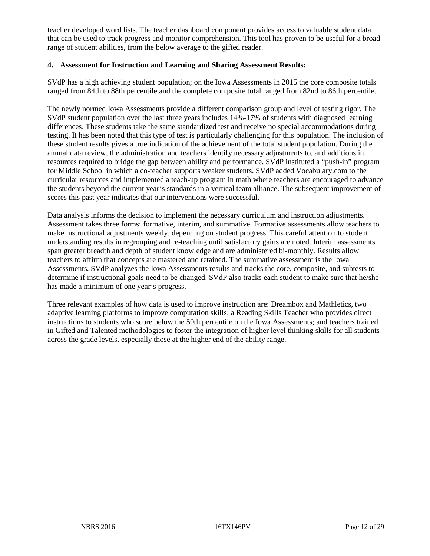teacher developed word lists. The teacher dashboard component provides access to valuable student data that can be used to track progress and monitor comprehension. This tool has proven to be useful for a broad range of student abilities, from the below average to the gifted reader.

#### **4. Assessment for Instruction and Learning and Sharing Assessment Results:**

SVdP has a high achieving student population; on the Iowa Assessments in 2015 the core composite totals ranged from 84th to 88th percentile and the complete composite total ranged from 82nd to 86th percentile.

The newly normed Iowa Assessments provide a different comparison group and level of testing rigor. The SVdP student population over the last three years includes 14%-17% of students with diagnosed learning differences. These students take the same standardized test and receive no special accommodations during testing. It has been noted that this type of test is particularly challenging for this population. The inclusion of these student results gives a true indication of the achievement of the total student population. During the annual data review, the administration and teachers identify necessary adjustments to, and additions in, resources required to bridge the gap between ability and performance. SVdP instituted a "push-in" program for Middle School in which a co-teacher supports weaker students. SVdP added Vocabulary.com to the curricular resources and implemented a teach-up program in math where teachers are encouraged to advance the students beyond the current year's standards in a vertical team alliance. The subsequent improvement of scores this past year indicates that our interventions were successful.

Data analysis informs the decision to implement the necessary curriculum and instruction adjustments. Assessment takes three forms: formative, interim, and summative. Formative assessments allow teachers to make instructional adjustments weekly, depending on student progress. This careful attention to student understanding results in regrouping and re-teaching until satisfactory gains are noted. Interim assessments span greater breadth and depth of student knowledge and are administered bi-monthly. Results allow teachers to affirm that concepts are mastered and retained. The summative assessment is the Iowa Assessments. SVdP analyzes the Iowa Assessments results and tracks the core, composite, and subtests to determine if instructional goals need to be changed. SVdP also tracks each student to make sure that he/she has made a minimum of one year's progress.

Three relevant examples of how data is used to improve instruction are: Dreambox and Mathletics, two adaptive learning platforms to improve computation skills; a Reading Skills Teacher who provides direct instructions to students who score below the 50th percentile on the Iowa Assessments; and teachers trained in Gifted and Talented methodologies to foster the integration of higher level thinking skills for all students across the grade levels, especially those at the higher end of the ability range.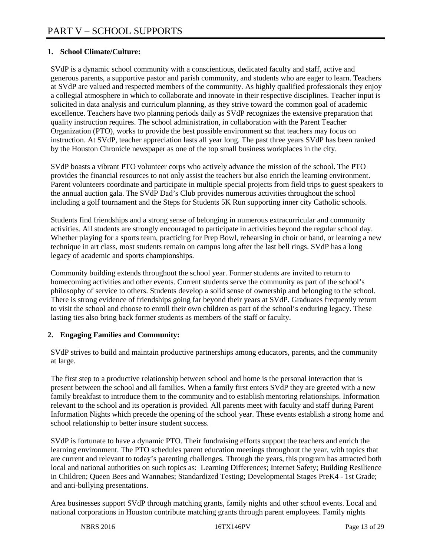## **1. School Climate/Culture:**

SVdP is a dynamic school community with a conscientious, dedicated faculty and staff, active and generous parents, a supportive pastor and parish community, and students who are eager to learn. Teachers at SVdP are valued and respected members of the community. As highly qualified professionals they enjoy a collegial atmosphere in which to collaborate and innovate in their respective disciplines. Teacher input is solicited in data analysis and curriculum planning, as they strive toward the common goal of academic excellence. Teachers have two planning periods daily as SVdP recognizes the extensive preparation that quality instruction requires. The school administration, in collaboration with the Parent Teacher Organization (PTO), works to provide the best possible environment so that teachers may focus on instruction. At SVdP, teacher appreciation lasts all year long. The past three years SVdP has been ranked by the Houston Chronicle newspaper as one of the top small business workplaces in the city.

SVdP boasts a vibrant PTO volunteer corps who actively advance the mission of the school. The PTO provides the financial resources to not only assist the teachers but also enrich the learning environment. Parent volunteers coordinate and participate in multiple special projects from field trips to guest speakers to the annual auction gala. The SVdP Dad's Club provides numerous activities throughout the school including a golf tournament and the Steps for Students 5K Run supporting inner city Catholic schools.

Students find friendships and a strong sense of belonging in numerous extracurricular and community activities. All students are strongly encouraged to participate in activities beyond the regular school day. Whether playing for a sports team, practicing for Prep Bowl, rehearsing in choir or band, or learning a new technique in art class, most students remain on campus long after the last bell rings. SVdP has a long legacy of academic and sports championships.

Community building extends throughout the school year. Former students are invited to return to homecoming activities and other events. Current students serve the community as part of the school's philosophy of service to others. Students develop a solid sense of ownership and belonging to the school. There is strong evidence of friendships going far beyond their years at SVdP. Graduates frequently return to visit the school and choose to enroll their own children as part of the school's enduring legacy. These lasting ties also bring back former students as members of the staff or faculty.

#### **2. Engaging Families and Community:**

SVdP strives to build and maintain productive partnerships among educators, parents, and the community at large.

The first step to a productive relationship between school and home is the personal interaction that is present between the school and all families. When a family first enters SVdP they are greeted with a new family breakfast to introduce them to the community and to establish mentoring relationships. Information relevant to the school and its operation is provided. All parents meet with faculty and staff during Parent Information Nights which precede the opening of the school year. These events establish a strong home and school relationship to better insure student success.

SVdP is fortunate to have a dynamic PTO. Their fundraising efforts support the teachers and enrich the learning environment. The PTO schedules parent education meetings throughout the year, with topics that are current and relevant to today's parenting challenges. Through the years, this program has attracted both local and national authorities on such topics as: Learning Differences; Internet Safety; Building Resilience in Children; Queen Bees and Wannabes; Standardized Testing; Developmental Stages PreK4 - 1st Grade; and anti-bullying presentations.

Area businesses support SVdP through matching grants, family nights and other school events. Local and national corporations in Houston contribute matching grants through parent employees. Family nights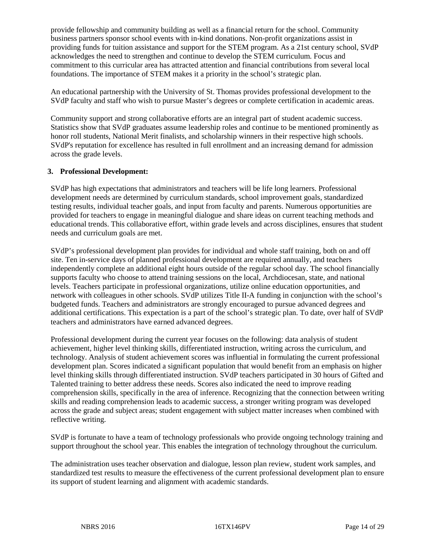provide fellowship and community building as well as a financial return for the school. Community business partners sponsor school events with in-kind donations. Non-profit organizations assist in providing funds for tuition assistance and support for the STEM program. As a 21st century school, SVdP acknowledges the need to strengthen and continue to develop the STEM curriculum. Focus and commitment to this curricular area has attracted attention and financial contributions from several local foundations. The importance of STEM makes it a priority in the school's strategic plan.

An educational partnership with the University of St. Thomas provides professional development to the SVdP faculty and staff who wish to pursue Master's degrees or complete certification in academic areas.

Community support and strong collaborative efforts are an integral part of student academic success. Statistics show that SVdP graduates assume leadership roles and continue to be mentioned prominently as honor roll students, National Merit finalists, and scholarship winners in their respective high schools. SVdP's reputation for excellence has resulted in full enrollment and an increasing demand for admission across the grade levels.

#### **3. Professional Development:**

SVdP has high expectations that administrators and teachers will be life long learners. Professional development needs are determined by curriculum standards, school improvement goals, standardized testing results, individual teacher goals, and input from faculty and parents. Numerous opportunities are provided for teachers to engage in meaningful dialogue and share ideas on current teaching methods and educational trends. This collaborative effort, within grade levels and across disciplines, ensures that student needs and curriculum goals are met.

SVdP's professional development plan provides for individual and whole staff training, both on and off site. Ten in-service days of planned professional development are required annually, and teachers independently complete an additional eight hours outside of the regular school day. The school financially supports faculty who choose to attend training sessions on the local, Archdiocesan, state, and national levels. Teachers participate in professional organizations, utilize online education opportunities, and network with colleagues in other schools. SVdP utilizes Title II-A funding in conjunction with the school's budgeted funds. Teachers and administrators are strongly encouraged to pursue advanced degrees and additional certifications. This expectation is a part of the school's strategic plan. To date, over half of SVdP teachers and administrators have earned advanced degrees.

Professional development during the current year focuses on the following: data analysis of student achievement, higher level thinking skills, differentiated instruction, writing across the curriculum, and technology. Analysis of student achievement scores was influential in formulating the current professional development plan. Scores indicated a significant population that would benefit from an emphasis on higher level thinking skills through differentiated instruction. SVdP teachers participated in 30 hours of Gifted and Talented training to better address these needs. Scores also indicated the need to improve reading comprehension skills, specifically in the area of inference. Recognizing that the connection between writing skills and reading comprehension leads to academic success, a stronger writing program was developed across the grade and subject areas; student engagement with subject matter increases when combined with reflective writing.

SVdP is fortunate to have a team of technology professionals who provide ongoing technology training and support throughout the school year. This enables the integration of technology throughout the curriculum.

The administration uses teacher observation and dialogue, lesson plan review, student work samples, and standardized test results to measure the effectiveness of the current professional development plan to ensure its support of student learning and alignment with academic standards.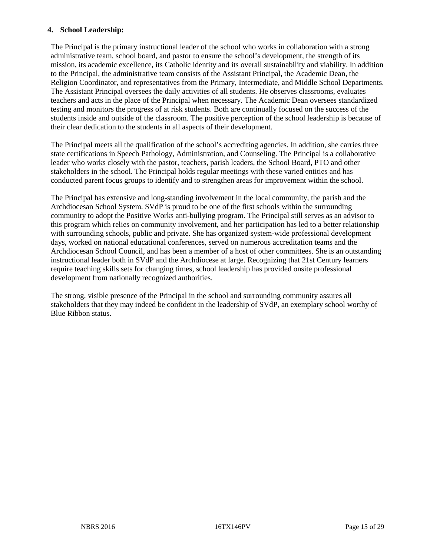#### **4. School Leadership:**

The Principal is the primary instructional leader of the school who works in collaboration with a strong administrative team, school board, and pastor to ensure the school's development, the strength of its mission, its academic excellence, its Catholic identity and its overall sustainability and viability. In addition to the Principal, the administrative team consists of the Assistant Principal, the Academic Dean, the Religion Coordinator, and representatives from the Primary, Intermediate, and Middle School Departments. The Assistant Principal oversees the daily activities of all students. He observes classrooms, evaluates teachers and acts in the place of the Principal when necessary. The Academic Dean oversees standardized testing and monitors the progress of at risk students. Both are continually focused on the success of the students inside and outside of the classroom. The positive perception of the school leadership is because of their clear dedication to the students in all aspects of their development.

The Principal meets all the qualification of the school's accrediting agencies. In addition, she carries three state certifications in Speech Pathology, Administration, and Counseling. The Principal is a collaborative leader who works closely with the pastor, teachers, parish leaders, the School Board, PTO and other stakeholders in the school. The Principal holds regular meetings with these varied entities and has conducted parent focus groups to identify and to strengthen areas for improvement within the school.

The Principal has extensive and long-standing involvement in the local community, the parish and the Archdiocesan School System. SVdP is proud to be one of the first schools within the surrounding community to adopt the Positive Works anti-bullying program. The Principal still serves as an advisor to this program which relies on community involvement, and her participation has led to a better relationship with surrounding schools, public and private. She has organized system-wide professional development days, worked on national educational conferences, served on numerous accreditation teams and the Archdiocesan School Council, and has been a member of a host of other committees. She is an outstanding instructional leader both in SVdP and the Archdiocese at large. Recognizing that 21st Century learners require teaching skills sets for changing times, school leadership has provided onsite professional development from nationally recognized authorities.

The strong, visible presence of the Principal in the school and surrounding community assures all stakeholders that they may indeed be confident in the leadership of SVdP, an exemplary school worthy of Blue Ribbon status.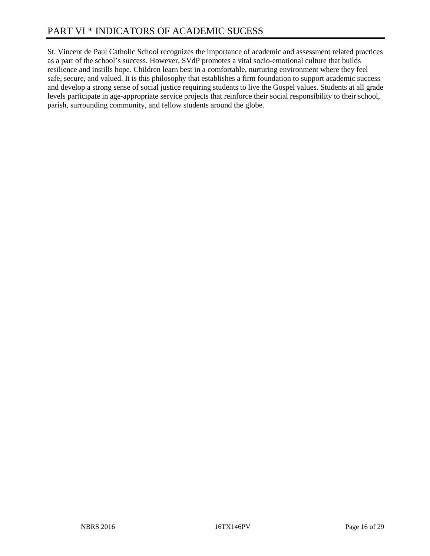# PART VI \* INDICATORS OF ACADEMIC SUCESS

St. Vincent de Paul Catholic School recognizes the importance of academic and assessment related practices as a part of the school's success. However, SVdP promotes a vital socio-emotional culture that builds resilience and instills hope. Children learn best in a comfortable, nurturing environment where they feel safe, secure, and valued. It is this philosophy that establishes a firm foundation to support academic success and develop a strong sense of social justice requiring students to live the Gospel values. Students at all grade levels participate in age-appropriate service projects that reinforce their social responsibility to their school, parish, surrounding community, and fellow students around the globe.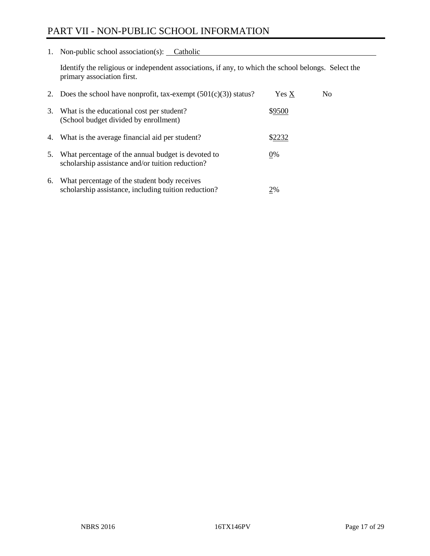# PART VII - NON-PUBLIC SCHOOL INFORMATION

1. Non-public school association(s): Catholic

Identify the religious or independent associations, if any, to which the school belongs. Select the primary association first.

| 2. | Does the school have nonprofit, tax-exempt $(501(c)(3))$ status?                                       | Yes X  | No. |
|----|--------------------------------------------------------------------------------------------------------|--------|-----|
| 3. | What is the educational cost per student?<br>(School budget divided by enrollment)                     | \$9500 |     |
| 4. | What is the average financial aid per student?                                                         | \$2232 |     |
| 5. | What percentage of the annual budget is devoted to<br>scholarship assistance and/or tuition reduction? | $0\%$  |     |
| 6. | What percentage of the student body receives<br>scholarship assistance, including tuition reduction?   | 2%     |     |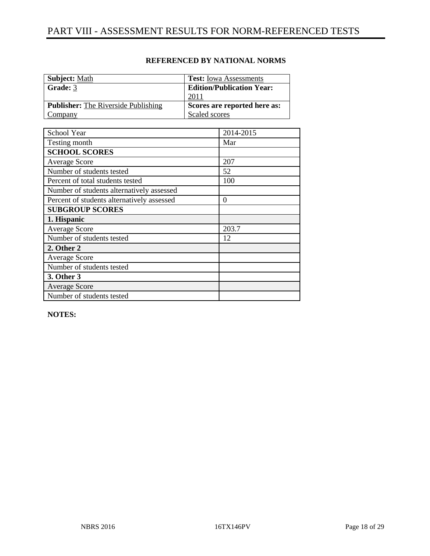| <b>Subject:</b> Math                       | <b>Test:</b> Iowa Assessments    |
|--------------------------------------------|----------------------------------|
| Grade: 3                                   | <b>Edition/Publication Year:</b> |
|                                            | 2011                             |
| <b>Publisher:</b> The Riverside Publishing | Scores are reported here as:     |
| Company                                    | Scaled scores                    |

| School Year                                | 2014-2015 |
|--------------------------------------------|-----------|
| Testing month                              | Mar       |
| <b>SCHOOL SCORES</b>                       |           |
| <b>Average Score</b>                       | 207       |
| Number of students tested                  | 52        |
| Percent of total students tested           | 100       |
| Number of students alternatively assessed  |           |
| Percent of students alternatively assessed | $\theta$  |
| <b>SUBGROUP SCORES</b>                     |           |
| 1. Hispanic                                |           |
| Average Score                              | 203.7     |
| Number of students tested                  | 12        |
| 2. Other 2                                 |           |
| <b>Average Score</b>                       |           |
| Number of students tested                  |           |
| 3. Other 3                                 |           |
| <b>Average Score</b>                       |           |
| Number of students tested                  |           |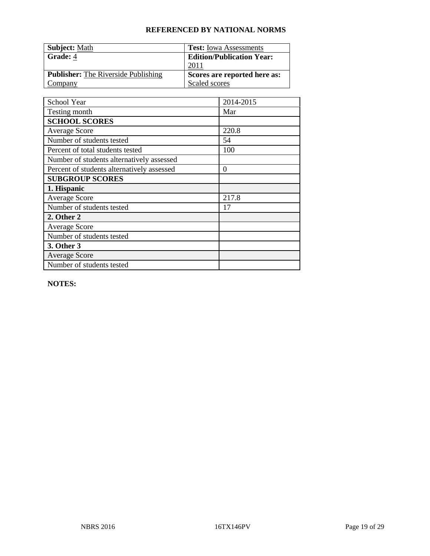| <b>Subject: Math</b>                       | <b>Test:</b> Iowa Assessments    |
|--------------------------------------------|----------------------------------|
| Grade: 4                                   | <b>Edition/Publication Year:</b> |
|                                            | 2011                             |
| <b>Publisher:</b> The Riverside Publishing | Scores are reported here as:     |
| Company                                    | Scaled scores                    |

| School Year                                | 2014-2015 |
|--------------------------------------------|-----------|
| Testing month                              | Mar       |
| <b>SCHOOL SCORES</b>                       |           |
| <b>Average Score</b>                       | 220.8     |
| Number of students tested                  | 54        |
| Percent of total students tested           | 100       |
| Number of students alternatively assessed  |           |
| Percent of students alternatively assessed | $\theta$  |
| <b>SUBGROUP SCORES</b>                     |           |
| 1. Hispanic                                |           |
| <b>Average Score</b>                       | 217.8     |
| Number of students tested                  | 17        |
| 2. Other 2                                 |           |
| <b>Average Score</b>                       |           |
| Number of students tested                  |           |
| 3. Other 3                                 |           |
| <b>Average Score</b>                       |           |
| Number of students tested                  |           |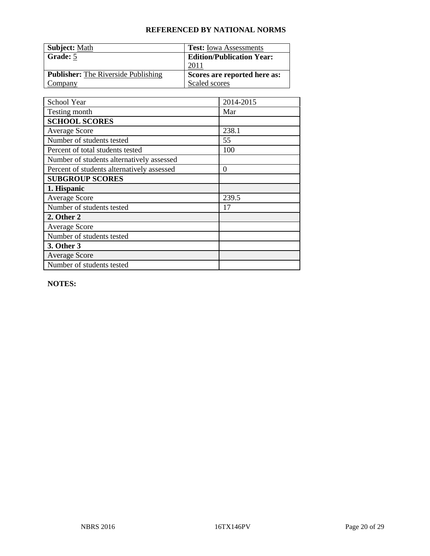| <b>Subject: Math</b>                       | <b>Test:</b> Iowa Assessments    |
|--------------------------------------------|----------------------------------|
| Grade: 5                                   | <b>Edition/Publication Year:</b> |
|                                            | 201 <sup>1</sup>                 |
| <b>Publisher:</b> The Riverside Publishing | Scores are reported here as:     |
| Company                                    | Scaled scores                    |

| School Year                                | 2014-2015 |
|--------------------------------------------|-----------|
| Testing month                              | Mar       |
| <b>SCHOOL SCORES</b>                       |           |
| <b>Average Score</b>                       | 238.1     |
| Number of students tested                  | 55        |
| Percent of total students tested           | 100       |
| Number of students alternatively assessed  |           |
| Percent of students alternatively assessed | $\theta$  |
| <b>SUBGROUP SCORES</b>                     |           |
| 1. Hispanic                                |           |
| <b>Average Score</b>                       | 239.5     |
| Number of students tested                  | 17        |
| 2. Other 2                                 |           |
| <b>Average Score</b>                       |           |
| Number of students tested                  |           |
| 3. Other 3                                 |           |
| <b>Average Score</b>                       |           |
| Number of students tested                  |           |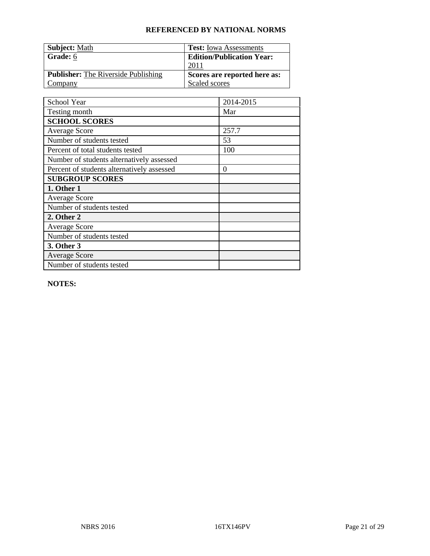| <b>Subject: Math</b>                       | <b>Test:</b> Iowa Assessments    |
|--------------------------------------------|----------------------------------|
| Grade: 6                                   | <b>Edition/Publication Year:</b> |
|                                            | 2011                             |
| <b>Publisher:</b> The Riverside Publishing | Scores are reported here as:     |
| Company                                    | Scaled scores                    |

| School Year                                | 2014-2015        |
|--------------------------------------------|------------------|
| Testing month                              | Mar              |
| <b>SCHOOL SCORES</b>                       |                  |
| <b>Average Score</b>                       | 257.7            |
| Number of students tested                  | 53               |
| Percent of total students tested           | 100              |
| Number of students alternatively assessed  |                  |
| Percent of students alternatively assessed | $\boldsymbol{0}$ |
| <b>SUBGROUP SCORES</b>                     |                  |
| 1. Other 1                                 |                  |
| <b>Average Score</b>                       |                  |
| Number of students tested                  |                  |
| 2. Other 2                                 |                  |
| <b>Average Score</b>                       |                  |
| Number of students tested                  |                  |
| 3. Other 3                                 |                  |
| <b>Average Score</b>                       |                  |
| Number of students tested                  |                  |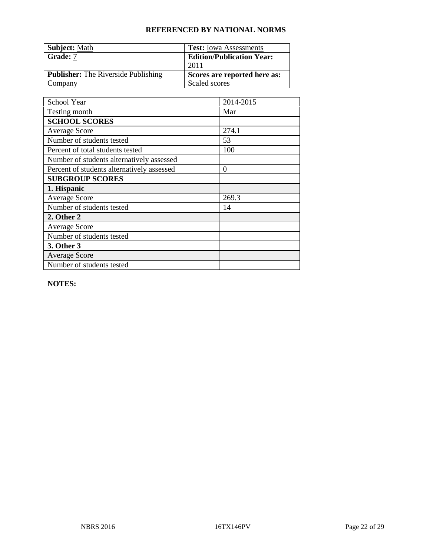| <b>Subject: Math</b>                       | <b>Test:</b> Iowa Assessments    |
|--------------------------------------------|----------------------------------|
| Grade: 7                                   | <b>Edition/Publication Year:</b> |
|                                            | 201 <sup>1</sup>                 |
| <b>Publisher:</b> The Riverside Publishing | Scores are reported here as:     |
| Company                                    | Scaled scores                    |

| School Year                                | 2014-2015 |
|--------------------------------------------|-----------|
| Testing month                              | Mar       |
| <b>SCHOOL SCORES</b>                       |           |
| <b>Average Score</b>                       | 274.1     |
| Number of students tested                  | 53        |
| Percent of total students tested           | 100       |
| Number of students alternatively assessed  |           |
| Percent of students alternatively assessed | $\theta$  |
| <b>SUBGROUP SCORES</b>                     |           |
| 1. Hispanic                                |           |
| <b>Average Score</b>                       | 269.3     |
| Number of students tested                  | 14        |
| 2. Other 2                                 |           |
| <b>Average Score</b>                       |           |
| Number of students tested                  |           |
| 3. Other 3                                 |           |
| <b>Average Score</b>                       |           |
| Number of students tested                  |           |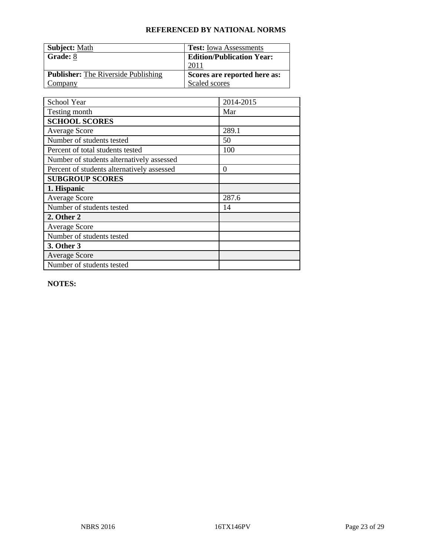| <b>Subject: Math</b>                       | <b>Test:</b> Iowa Assessments    |
|--------------------------------------------|----------------------------------|
| Grade: 8                                   | <b>Edition/Publication Year:</b> |
|                                            | 201 <sup>1</sup>                 |
| <b>Publisher:</b> The Riverside Publishing | Scores are reported here as:     |
| Company                                    | Scaled scores                    |

| School Year                                | 2014-2015 |
|--------------------------------------------|-----------|
| Testing month                              | Mar       |
| <b>SCHOOL SCORES</b>                       |           |
| <b>Average Score</b>                       | 289.1     |
| Number of students tested                  | 50        |
| Percent of total students tested           | 100       |
| Number of students alternatively assessed  |           |
| Percent of students alternatively assessed | $\theta$  |
| <b>SUBGROUP SCORES</b>                     |           |
| 1. Hispanic                                |           |
| <b>Average Score</b>                       | 287.6     |
| Number of students tested                  | 14        |
| 2. Other 2                                 |           |
| <b>Average Score</b>                       |           |
| Number of students tested                  |           |
| 3. Other 3                                 |           |
| <b>Average Score</b>                       |           |
| Number of students tested                  |           |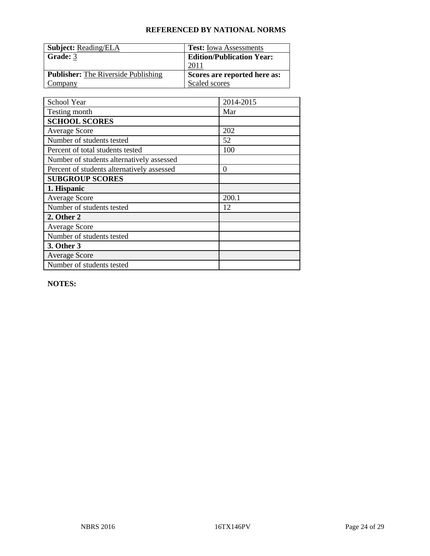| <b>Subject: Reading/ELA</b>                | <b>Test:</b> Iowa Assessments    |
|--------------------------------------------|----------------------------------|
| Grade: 3                                   | <b>Edition/Publication Year:</b> |
|                                            | 2011                             |
| <b>Publisher:</b> The Riverside Publishing | Scores are reported here as:     |
| Company                                    | Scaled scores                    |

| School Year                                | 2014-2015 |
|--------------------------------------------|-----------|
| Testing month                              | Mar       |
| <b>SCHOOL SCORES</b>                       |           |
| <b>Average Score</b>                       | 202       |
| Number of students tested                  | 52        |
| Percent of total students tested           | 100       |
| Number of students alternatively assessed  |           |
| Percent of students alternatively assessed | $\theta$  |
| <b>SUBGROUP SCORES</b>                     |           |
| 1. Hispanic                                |           |
| <b>Average Score</b>                       | 200.1     |
| Number of students tested                  | 12        |
| 2. Other 2                                 |           |
| <b>Average Score</b>                       |           |
| Number of students tested                  |           |
| 3. Other 3                                 |           |
| <b>Average Score</b>                       |           |
| Number of students tested                  |           |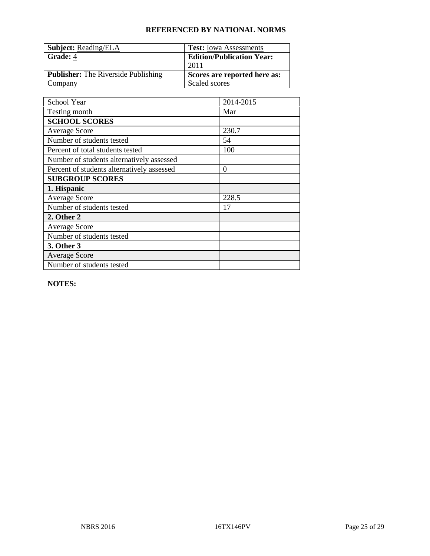| <b>Subject: Reading/ELA</b>                | <b>Test:</b> Iowa Assessments    |
|--------------------------------------------|----------------------------------|
| Grade: 4                                   | <b>Edition/Publication Year:</b> |
|                                            | 201 <sup>1</sup>                 |
| <b>Publisher:</b> The Riverside Publishing | Scores are reported here as:     |
| Company                                    | Scaled scores                    |

| School Year                                | 2014-2015 |
|--------------------------------------------|-----------|
| Testing month                              | Mar       |
| <b>SCHOOL SCORES</b>                       |           |
| <b>Average Score</b>                       | 230.7     |
| Number of students tested                  | 54        |
| Percent of total students tested           | 100       |
| Number of students alternatively assessed  |           |
| Percent of students alternatively assessed | $\theta$  |
| <b>SUBGROUP SCORES</b>                     |           |
| 1. Hispanic                                |           |
| <b>Average Score</b>                       | 228.5     |
| Number of students tested                  | 17        |
| 2. Other 2                                 |           |
| <b>Average Score</b>                       |           |
| Number of students tested                  |           |
| 3. Other 3                                 |           |
| <b>Average Score</b>                       |           |
| Number of students tested                  |           |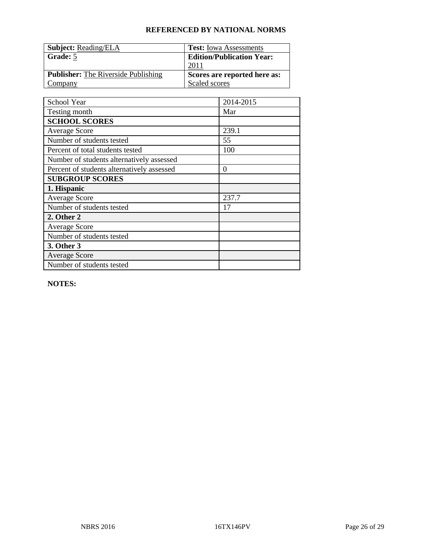| <b>Subject: Reading/ELA</b>                | <b>Test:</b> Iowa Assessments    |
|--------------------------------------------|----------------------------------|
| Grade: 5                                   | <b>Edition/Publication Year:</b> |
|                                            | 201 <sup>1</sup>                 |
| <b>Publisher:</b> The Riverside Publishing | Scores are reported here as:     |
| Company                                    | Scaled scores                    |

| School Year                                | 2014-2015 |
|--------------------------------------------|-----------|
| Testing month                              | Mar       |
| <b>SCHOOL SCORES</b>                       |           |
| <b>Average Score</b>                       | 239.1     |
| Number of students tested                  | 55        |
| Percent of total students tested           | 100       |
| Number of students alternatively assessed  |           |
| Percent of students alternatively assessed | $\theta$  |
| <b>SUBGROUP SCORES</b>                     |           |
| 1. Hispanic                                |           |
| <b>Average Score</b>                       | 237.7     |
| Number of students tested                  | 17        |
| 2. Other 2                                 |           |
| <b>Average Score</b>                       |           |
| Number of students tested                  |           |
| 3. Other 3                                 |           |
| <b>Average Score</b>                       |           |
| Number of students tested                  |           |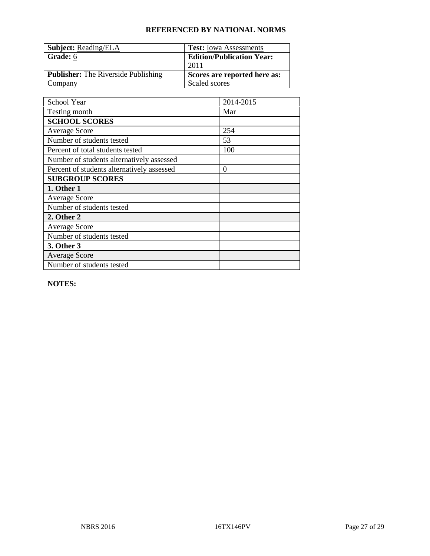| <b>Subject: Reading/ELA</b>                | <b>Test:</b> Iowa Assessments    |
|--------------------------------------------|----------------------------------|
| Grade: 6                                   | <b>Edition/Publication Year:</b> |
|                                            | 201 <sup>1</sup>                 |
| <b>Publisher:</b> The Riverside Publishing | Scores are reported here as:     |
| Company                                    | Scaled scores                    |

| School Year                                | 2014-2015 |
|--------------------------------------------|-----------|
| Testing month                              | Mar       |
| <b>SCHOOL SCORES</b>                       |           |
| <b>Average Score</b>                       | 254       |
| Number of students tested                  | 53        |
| Percent of total students tested           | 100       |
| Number of students alternatively assessed  |           |
| Percent of students alternatively assessed | $\theta$  |
| <b>SUBGROUP SCORES</b>                     |           |
| 1. Other 1                                 |           |
| <b>Average Score</b>                       |           |
| Number of students tested                  |           |
| 2. Other 2                                 |           |
| <b>Average Score</b>                       |           |
| Number of students tested                  |           |
| 3. Other 3                                 |           |
| <b>Average Score</b>                       |           |
| Number of students tested                  |           |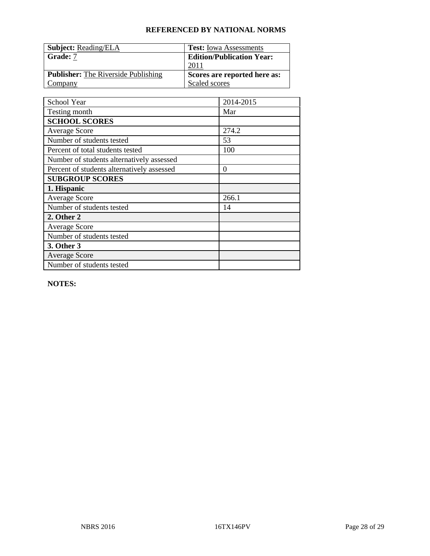| <b>Subject: Reading/ELA</b>                | <b>Test:</b> Iowa Assessments    |
|--------------------------------------------|----------------------------------|
| Grade: 7                                   | <b>Edition/Publication Year:</b> |
|                                            | 201 <sup>1</sup>                 |
| <b>Publisher:</b> The Riverside Publishing | Scores are reported here as:     |
| Company                                    | Scaled scores                    |

| School Year                                | 2014-2015 |
|--------------------------------------------|-----------|
| Testing month                              | Mar       |
| <b>SCHOOL SCORES</b>                       |           |
| <b>Average Score</b>                       | 274.2     |
| Number of students tested                  | 53        |
| Percent of total students tested           | 100       |
| Number of students alternatively assessed  |           |
| Percent of students alternatively assessed | $\theta$  |
| <b>SUBGROUP SCORES</b>                     |           |
| 1. Hispanic                                |           |
| <b>Average Score</b>                       | 266.1     |
| Number of students tested                  | 14        |
| 2. Other 2                                 |           |
| <b>Average Score</b>                       |           |
| Number of students tested                  |           |
| 3. Other 3                                 |           |
| <b>Average Score</b>                       |           |
| Number of students tested                  |           |